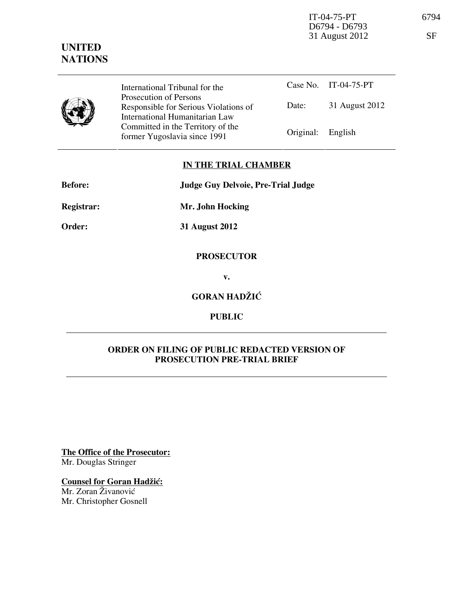IT-04-75-PT 6794 D6794 - D6793 31 August 2012 SF



Case No. IT-04-75-PT International Tribunal for the Prosecution of Persons Responsible for Serious Violations of International Humanitarian Law Committed in the Territory of the Former Yugoslavia since 1991 Original: English

Date: 31 August 2012

## **IN THE TRIAL CHAMBER**

| <b>Before:</b>    | <b>Judge Guy Delvoie, Pre-Trial Judge</b> |
|-------------------|-------------------------------------------|
| <b>Registrar:</b> | Mr. John Hocking                          |

**Order: 31 August 2012** 

## **PROSECUTOR**

**v.** 

## **GORAN HADŽIĆ**

**PUBLIC** 

## **ORDER ON FILING OF PUBLIC REDACTED VERSION OF PROSECUTION PRE-TRIAL BRIEF**

**The Office of the Prosecutor:** Mr. Douglas Stringer

**Counsel for Goran Hadžić:** Mr. Zoran Živanović Mr. Christopher Gosnell